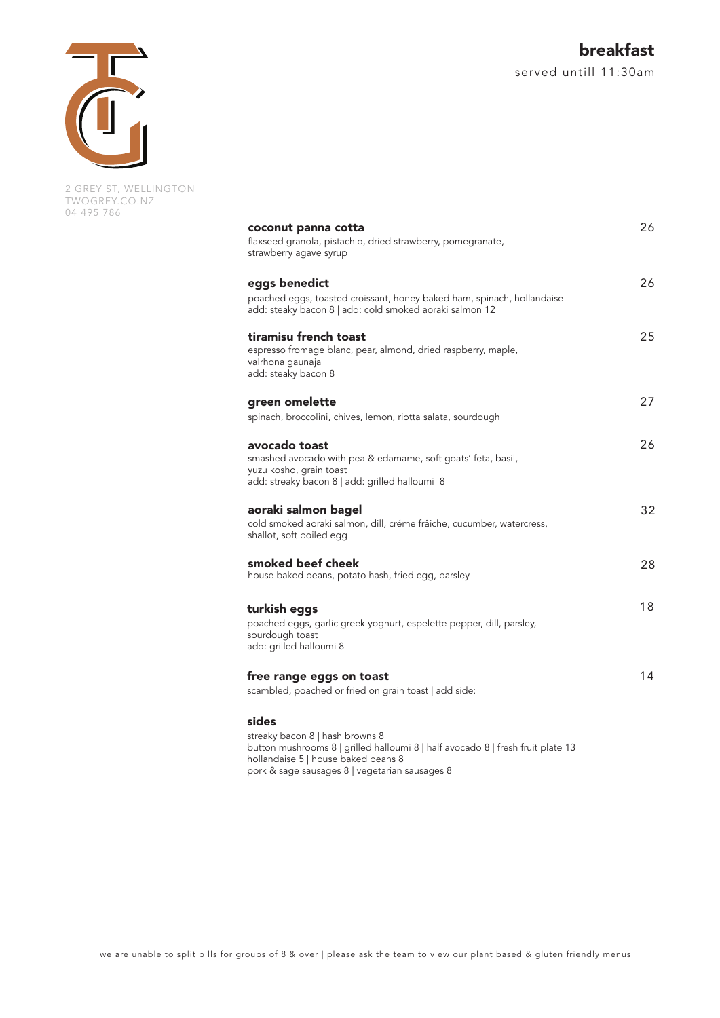

2 GREY ST, WELLINGTON TWOGREY.CO.NZ 04 495 786

| coconut panna cotta<br>flaxseed granola, pistachio, dried strawberry, pomegranate,<br>strawberry agave syrup                                               |  |
|------------------------------------------------------------------------------------------------------------------------------------------------------------|--|
| eggs benedict                                                                                                                                              |  |
| poached eggs, toasted croissant, honey baked ham, spinach, hollandaise<br>add: steaky bacon 8   add: cold smoked aoraki salmon 12                          |  |
| tiramisu french toast<br>espresso fromage blanc, pear, almond, dried raspberry, maple,<br>valrhona gaunaja<br>add: steaky bacon 8                          |  |
| green omelette<br>spinach, broccolini, chives, lemon, riotta salata, sourdough                                                                             |  |
| avocado toast<br>smashed avocado with pea & edamame, soft goats' feta, basil,<br>yuzu kosho, grain toast<br>add: streaky bacon 8   add: grilled halloumi 8 |  |
| aoraki salmon bagel<br>cold smoked aoraki salmon, dill, créme frâiche, cucumber, watercress,<br>shallot, soft boiled egg                                   |  |
| smoked beef cheek<br>house baked beans, potato hash, fried egg, parsley                                                                                    |  |
| turkish eggs<br>poached eggs, garlic greek yoghurt, espelette pepper, dill, parsley,<br>sourdough toast<br>add: grilled halloumi 8                         |  |
| free range eggs on toast<br>scambled, poached or fried on grain toast   add side:                                                                          |  |
| sides<br>streaky bacon 8   hash browns 8<br>10 مقطعة بشريط والمسكرات والمحمودية كالمعارات فيستبه المعاراته والتسمرات والمستوسط ويتعارضه استحققت وا         |  |

button mushrooms 8 | grilled halloumi 8 | half avocado 8 | fresh fruit plate 13 hollandaise 5 | house baked beans 8 pork & sage sausages 8 | vegetarian sausages 8